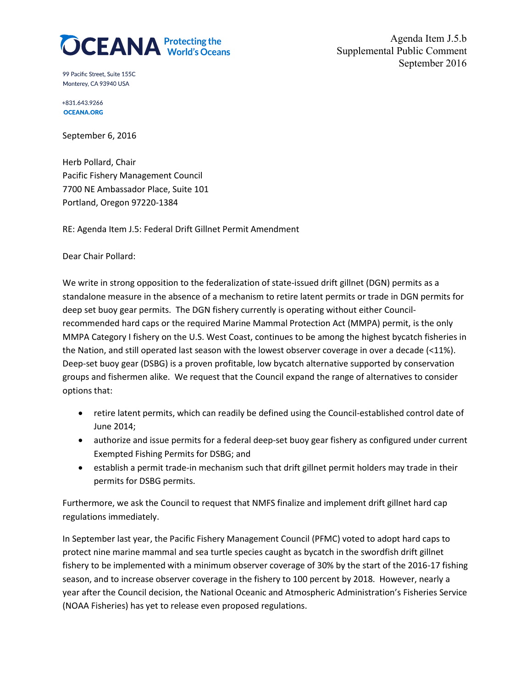

Agenda Item J.5.b Supplemental Public Comment September 2016

99 Pacific Street. Suite 155C Monterey, CA 93940 USA

+831.643.9266 **OCEANA.ORG** 

September 6, 2016

Herb Pollard, Chair Pacific Fishery Management Council 7700 NE Ambassador Place, Suite 101 Portland, Oregon 97220-1384

RE: Agenda Item J.5: Federal Drift Gillnet Permit Amendment

Dear Chair Pollard:

We write in strong opposition to the federalization of state-issued drift gillnet (DGN) permits as a standalone measure in the absence of a mechanism to retire latent permits or trade in DGN permits for deep set buoy gear permits. The DGN fishery currently is operating without either Councilrecommended hard caps or the required Marine Mammal Protection Act (MMPA) permit, is the only MMPA Category I fishery on the U.S. West Coast, continues to be among the highest bycatch fisheries in the Nation, and still operated last season with the lowest observer coverage in over a decade (<11%). Deep-set buoy gear (DSBG) is a proven profitable, low bycatch alternative supported by conservation groups and fishermen alike. We request that the Council expand the range of alternatives to consider options that:

- retire latent permits, which can readily be defined using the Council-established control date of June 2014;
- authorize and issue permits for a federal deep-set buoy gear fishery as configured under current Exempted Fishing Permits for DSBG; and
- establish a permit trade-in mechanism such that drift gillnet permit holders may trade in their permits for DSBG permits.

Furthermore, we ask the Council to request that NMFS finalize and implement drift gillnet hard cap regulations immediately.

In September last year, the Pacific Fishery Management Council (PFMC) voted to adopt hard caps to protect nine marine mammal and sea turtle species caught as bycatch in the swordfish drift gillnet fishery to be implemented with a minimum observer coverage of 30% by the start of the 2016-17 fishing season, and to increase observer coverage in the fishery to 100 percent by 2018. However, nearly a year after the Council decision, the National Oceanic and Atmospheric Administration's Fisheries Service (NOAA Fisheries) has yet to release even proposed regulations.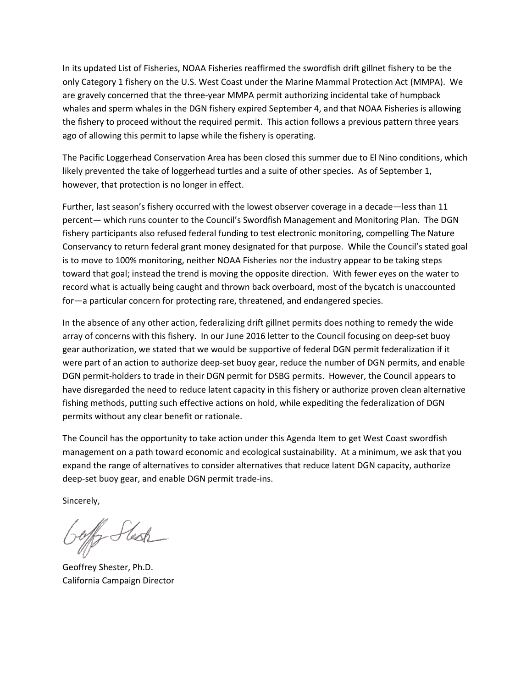In its updated List of Fisheries, NOAA Fisheries reaffirmed the swordfish drift gillnet fishery to be the only Category 1 fishery on the U.S. West Coast under the Marine Mammal Protection Act (MMPA). We are gravely concerned that the three-year MMPA permit authorizing incidental take of humpback whales and sperm whales in the DGN fishery expired September 4, and that NOAA Fisheries is allowing the fishery to proceed without the required permit. This action follows a previous pattern three years ago of allowing this permit to lapse while the fishery is operating.

The Pacific Loggerhead Conservation Area has been closed this summer due to El Nino conditions, which likely prevented the take of loggerhead turtles and a suite of other species. As of September 1, however, that protection is no longer in effect.

Further, last season's fishery occurred with the lowest observer coverage in a decade—less than 11 percent— which runs counter to the Council's Swordfish Management and Monitoring Plan. The DGN fishery participants also refused federal funding to test electronic monitoring, compelling The Nature Conservancy to return federal grant money designated for that purpose. While the Council's stated goal is to move to 100% monitoring, neither NOAA Fisheries nor the industry appear to be taking steps toward that goal; instead the trend is moving the opposite direction. With fewer eyes on the water to record what is actually being caught and thrown back overboard, most of the bycatch is unaccounted for—a particular concern for protecting rare, threatened, and endangered species.

In the absence of any other action, federalizing drift gillnet permits does nothing to remedy the wide array of concerns with this fishery. In our June 2016 letter to the Council focusing on deep-set buoy gear authorization, we stated that we would be supportive of federal DGN permit federalization if it were part of an action to authorize deep-set buoy gear, reduce the number of DGN permits, and enable DGN permit-holders to trade in their DGN permit for DSBG permits. However, the Council appears to have disregarded the need to reduce latent capacity in this fishery or authorize proven clean alternative fishing methods, putting such effective actions on hold, while expediting the federalization of DGN permits without any clear benefit or rationale.

The Council has the opportunity to take action under this Agenda Item to get West Coast swordfish management on a path toward economic and ecological sustainability. At a minimum, we ask that you expand the range of alternatives to consider alternatives that reduce latent DGN capacity, authorize deep-set buoy gear, and enable DGN permit trade-ins.

Sincerely,

fly Stesh

Geoffrey Shester, Ph.D. California Campaign Director